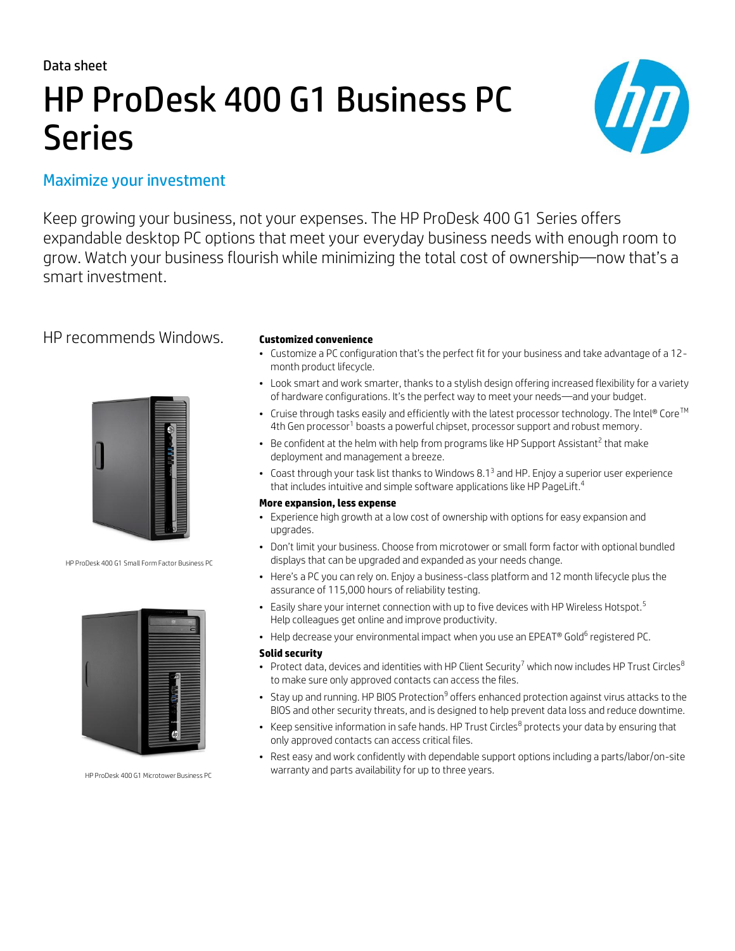Data sheet

# HP ProDesk 400 G1 Business PC Series



# Maximize your investment

Keep growing your business, not your expenses. The HP ProDesk 400 G1 Series offers expandable desktop PC options that meet your everyday business needs with enough room to grow. Watch your business flourish while minimizing the total cost of ownership—now that's a smart investment.

# HP recommends Windows. **Customized convenience**



HP ProDesk 400 G1 Small Form Factor Business PC



HP ProDesk 400 G1 Microtower Business PC

- Customize a PC configuration that's the perfect fit for your business and take advantage of a 12 month product lifecycle.
- Look smart and work smarter, thanks to a stylish design offering increased flexibility for a variety of hardware configurations. It's the perfect way to meet your needs—and your budget.
- Cruise through tasks easily and efficiently with the latest processor technology. The Intel® Core<sup>TM</sup> 4th Gen processor<sup>1</sup> boasts a powerful chipset, processor support and robust memory.
- $\bullet$  Be confident at the helm with help from programs like HP Support Assistant<sup>2</sup> that make deployment and management a breeze.
- Coast through your task list thanks to Windows 8.1<sup>3</sup> and HP. Enjoy a superior user experience that includes intuitive and simple software applications like HP PageLift.<sup>4</sup>

### **More expansion, less expense**

- Experience high growth at a low cost of ownership with options for easy expansion and upgrades.
- Don't limit your business. Choose from microtower or small form factor with optional bundled displays that can be upgraded and expanded as your needs change.
- Here's a PC you can rely on. Enjoy a business-class platform and 12 month lifecycle plus the assurance of 115,000 hours of reliability testing.
- Easily share your internet connection with up to five devices with HP Wireless Hotspot.<sup>5</sup> Help colleagues get online and improve productivity.
- $\bullet$  Help decrease your environmental impact when you use an EPEAT® Gold $^6$  registered PC.

#### **Solid security**

- Protect data, devices and identities with HP Client Security<sup>7</sup> which now includes HP Trust Circles<sup>8</sup> to make sure only approved contacts can access the files.
- $\bullet~$  Stay up and running. HP BIOS Protection $^9$  offers enhanced protection against virus attacks to the BIOS and other security threats, and is designed to help prevent data loss and reduce downtime.
- Keep sensitive information in safe hands. HP Trust Circles $^8$  protects your data by ensuring that only approved contacts can access critical files.
- Rest easy and work confidently with dependable support options including a parts/labor/on-site warranty and parts availability for up to three years.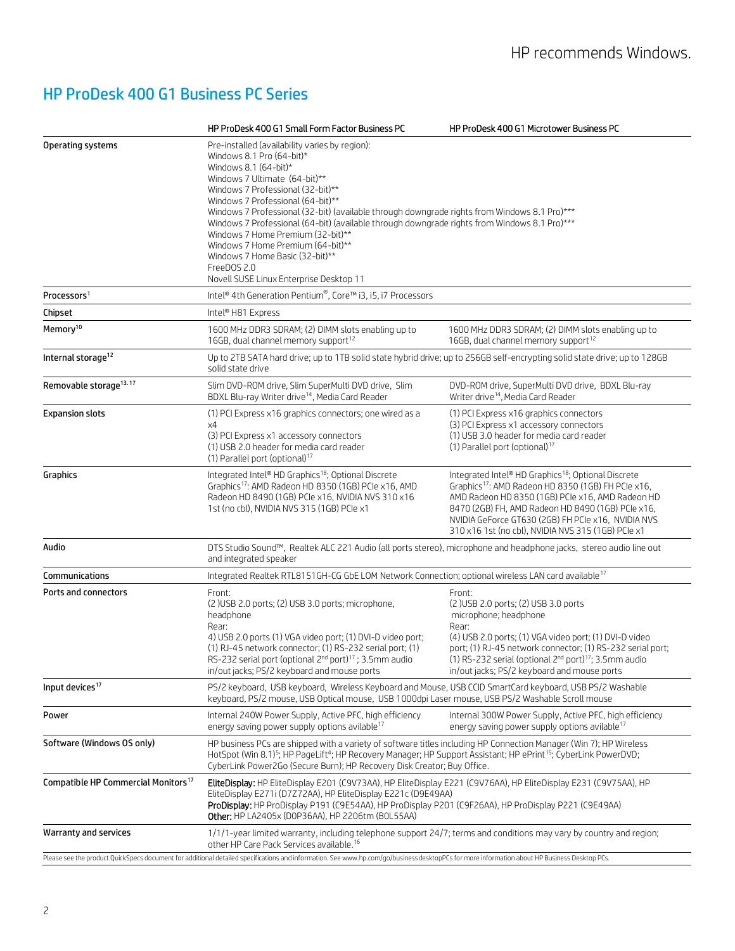# HP ProDesk 400 G1 Business PC Series

|                                                                                                                                                                                                      | HP ProDesk 400 G1 Small Form Factor Business PC                                                                                                                                                                                                                                                                                                                                                                                                                                                                                                                                           | HP ProDesk 400 G1 Microtower Business PC                                                                                                                                                                                                                                                                                                               |
|------------------------------------------------------------------------------------------------------------------------------------------------------------------------------------------------------|-------------------------------------------------------------------------------------------------------------------------------------------------------------------------------------------------------------------------------------------------------------------------------------------------------------------------------------------------------------------------------------------------------------------------------------------------------------------------------------------------------------------------------------------------------------------------------------------|--------------------------------------------------------------------------------------------------------------------------------------------------------------------------------------------------------------------------------------------------------------------------------------------------------------------------------------------------------|
| Operating systems                                                                                                                                                                                    | Pre-installed (availability varies by region):<br>Windows 8.1 Pro (64-bit)*<br>Windows 8.1 $(64$ -bit)*<br>Windows 7 Ultimate (64-bit)**<br>Windows 7 Professional (32-bit)**<br>Windows 7 Professional (64-bit)**<br>Windows 7 Professional (32-bit) (available through downgrade rights from Windows 8.1 Pro)***<br>Windows 7 Professional (64-bit) (available through downgrade rights from Windows 8.1 Pro)***<br>Windows 7 Home Premium (32-bit)**<br>Windows 7 Home Premium (64-bit)**<br>Windows 7 Home Basic (32-bit)**<br>FreeDOS 2.0<br>Novell SUSE Linux Enterprise Desktop 11 |                                                                                                                                                                                                                                                                                                                                                        |
| Processors <sup>1</sup>                                                                                                                                                                              | Intel <sup>®</sup> 4th Generation Pentium®, Core™ i3, i5, i7 Processors                                                                                                                                                                                                                                                                                                                                                                                                                                                                                                                   |                                                                                                                                                                                                                                                                                                                                                        |
| Chipset                                                                                                                                                                                              | Intel® H81 Express                                                                                                                                                                                                                                                                                                                                                                                                                                                                                                                                                                        |                                                                                                                                                                                                                                                                                                                                                        |
| Memory <sup>10</sup>                                                                                                                                                                                 | 1600 MHz DDR3 SDRAM; (2) DIMM slots enabling up to<br>16GB, dual channel memory support <sup>12</sup>                                                                                                                                                                                                                                                                                                                                                                                                                                                                                     | 1600 MHz DDR3 SDRAM; (2) DIMM slots enabling up to<br>16GB, dual channel memory support <sup>12</sup>                                                                                                                                                                                                                                                  |
| Internal storage <sup>12</sup>                                                                                                                                                                       | Up to 2TB SATA hard drive; up to 1TB solid state hybrid drive; up to 256GB self-encrypting solid state drive; up to 128GB<br>solid state drive                                                                                                                                                                                                                                                                                                                                                                                                                                            |                                                                                                                                                                                                                                                                                                                                                        |
| Removable storage <sup>13.17</sup>                                                                                                                                                                   | Slim DVD-ROM drive, Slim SuperMulti DVD drive, Slim<br>BDXL Blu-ray Writer drive <sup>14</sup> , Media Card Reader                                                                                                                                                                                                                                                                                                                                                                                                                                                                        | DVD-ROM drive, SuperMulti DVD drive, BDXL Blu-ray<br>Writer drive <sup>14</sup> , Media Card Reader                                                                                                                                                                                                                                                    |
| <b>Expansion slots</b>                                                                                                                                                                               | (1) PCI Express x16 graphics connectors; one wired as a<br>x4<br>(3) PCI Express x1 accessory connectors<br>(1) USB 2.0 header for media card reader<br>(1) Parallel port (optional) <sup>17</sup>                                                                                                                                                                                                                                                                                                                                                                                        | (1) PCI Express x16 graphics connectors<br>(3) PCI Express x1 accessory connectors<br>(1) USB 3.0 header for media card reader<br>(1) Parallel port (optional) <sup>17</sup>                                                                                                                                                                           |
| Graphics                                                                                                                                                                                             | Integrated Intel® HD Graphics <sup>18</sup> ; Optional Discrete<br>Graphics <sup>17</sup> : AMD Radeon HD 8350 (1GB) PCIe x16, AMD<br>Radeon HD 8490 (1GB) PCIe x16, NVIDIA NVS 310 x16<br>1st (no cbl), NVIDIA NVS 315 (1GB) PCIe x1                                                                                                                                                                                                                                                                                                                                                     | Integrated Intel® HD Graphics <sup>18</sup> ; Optional Discrete<br>Graphics <sup>17</sup> : AMD Radeon HD 8350 (1GB) FH PCle x16,<br>AMD Radeon HD 8350 (1GB) PCIe x16, AMD Radeon HD<br>8470 (2GB) FH, AMD Radeon HD 8490 (1GB) PCIe x16,<br>NVIDIA GeForce GT630 (2GB) FH PCIe x16, NVIDIA NVS<br>310 x16 1st (no cbl), NVIDIA NVS 315 (1GB) PCIe x1 |
| Audio                                                                                                                                                                                                | DTS Studio Sound™, Realtek ALC 221 Audio (all ports stereo), microphone and headphone jacks, stereo audio line out<br>and integrated speaker                                                                                                                                                                                                                                                                                                                                                                                                                                              |                                                                                                                                                                                                                                                                                                                                                        |
| Communications                                                                                                                                                                                       | Integrated Realtek RTL8151GH-CG GbE LOM Network Connection; optional wireless LAN card available <sup>17</sup>                                                                                                                                                                                                                                                                                                                                                                                                                                                                            |                                                                                                                                                                                                                                                                                                                                                        |
| Ports and connectors                                                                                                                                                                                 | Front:<br>(2) USB 2.0 ports; (2) USB 3.0 ports; microphone,<br>headphone<br>Rear:<br>4) USB 2.0 ports (1) VGA video port; (1) DVI-D video port;<br>(1) RJ-45 network connector; (1) RS-232 serial port; (1)<br>RS-232 serial port (optional 2 <sup>nd</sup> port) <sup>17</sup> ; 3.5mm audio<br>in/out jacks; PS/2 keyboard and mouse ports                                                                                                                                                                                                                                              | Front:<br>(2) USB 2.0 ports; (2) USB 3.0 ports<br>microphone; headphone<br>Rear:<br>(4) USB 2.0 ports; (1) VGA video port; (1) DVI-D video<br>port; (1) RJ-45 network connector; (1) RS-232 serial port;<br>(1) RS-232 serial (optional 2 <sup>nd</sup> port) <sup>17</sup> ; 3.5mm audio<br>in/out jacks; PS/2 keyboard and mouse ports               |
| Input devices <sup>17</sup>                                                                                                                                                                          | PS/2 keyboard, USB keyboard, Wireless Keyboard and Mouse, USB CCID SmartCard keyboard, USB PS/2 Washable<br>keyboard, PS/2 mouse, USB Optical mouse, USB 1000dpi Laser mouse, USB PS/2 Washable Scroll mouse                                                                                                                                                                                                                                                                                                                                                                              |                                                                                                                                                                                                                                                                                                                                                        |
| Power                                                                                                                                                                                                | Internal 240W Power Supply, Active PFC, high efficiency<br>energy saving power supply options avilable <sup>17</sup>                                                                                                                                                                                                                                                                                                                                                                                                                                                                      | Internal 300W Power Supply, Active PFC, high efficiency<br>energy saving power supply options avilable <sup>17</sup>                                                                                                                                                                                                                                   |
| Software (Windows OS only)                                                                                                                                                                           | HP business PCs are shipped with a variety of software titles including HP Connection Manager (Win 7); HP Wireless<br>HotSpot (Win 8.1) <sup>5</sup> ; HP PageLift <sup>4</sup> ; HP Recovery Manager; HP Support Assistant; HP ePrint <sup>15</sup> ; CyberLink PowerDVD;<br>CyberLink Power2Go (Secure Burn); HP Recovery Disk Creator; Buy Office.                                                                                                                                                                                                                                     |                                                                                                                                                                                                                                                                                                                                                        |
| Compatible HP Commercial Monitors <sup>17</sup>                                                                                                                                                      | EliteDisplay: HP EliteDisplay E201 (C9V73AA), HP EliteDisplay E221 (C9V76AA), HP EliteDisplay E231 (C9V75AA), HP<br>EliteDisplay E271i (D7Z72AA), HP EliteDisplay E221c (D9E49AA)<br>ProDisplay: HP ProDisplay P191 (C9E54AA), HP ProDisplay P201 (C9F26AA), HP ProDisplay P221 (C9E49AA)<br>Other: HP LA2405x (D0P36AA), HP 2206tm (B0L55AA)                                                                                                                                                                                                                                             |                                                                                                                                                                                                                                                                                                                                                        |
| Warranty and services<br>1/1/1-year limited warranty, including telephone support 24/7; terms and conditions may vary by country and region;<br>other HP Care Pack Services available. <sup>16</sup> |                                                                                                                                                                                                                                                                                                                                                                                                                                                                                                                                                                                           |                                                                                                                                                                                                                                                                                                                                                        |
| Please see the product QuickSpecs document for additional detailed specifications and information. See www.hp.com/go/business desktopPCs for more information about HP Business Desktop PCs.         |                                                                                                                                                                                                                                                                                                                                                                                                                                                                                                                                                                                           |                                                                                                                                                                                                                                                                                                                                                        |